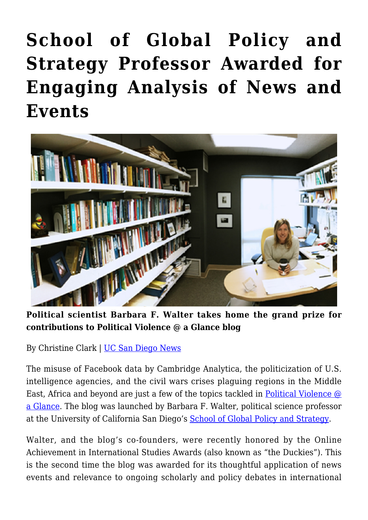## **[School of Global Policy and](https://gpsnews.ucsd.edu/school-of-global-policy-and-strategy-professor-awarded-for-engaging-analysis-of-news-and-events/) [Strategy Professor Awarded for](https://gpsnews.ucsd.edu/school-of-global-policy-and-strategy-professor-awarded-for-engaging-analysis-of-news-and-events/) [Engaging Analysis of News and](https://gpsnews.ucsd.edu/school-of-global-policy-and-strategy-professor-awarded-for-engaging-analysis-of-news-and-events/) [Events](https://gpsnews.ucsd.edu/school-of-global-policy-and-strategy-professor-awarded-for-engaging-analysis-of-news-and-events/)**



**Political scientist Barbara F. Walter takes home the grand prize for contributions to Political Violence @ a Glance blog**

By Christine Clark | [UC San Diego News](https://ucsdnews.ucsd.edu/pressrelease/school_of_global_policy_and_strategy_prof._again_awarded_for_engaging_analy)

The misuse of Facebook data by Cambridge Analytica, the politicization of U.S. intelligence agencies, and the civil wars crises plaguing regions in the Middle East, Africa and beyond are just a few of the topics tackled in **Political Violence @** [a Glance.](http://politicalviolenceataglance.org/) The blog was launched by Barbara F. Walter, political science professor at the University of California San Diego's [School of Global Policy and Strategy](http://gps.ucsd.edu/).

Walter, and the blog's co-founders, were recently honored by the Online Achievement in International Studies Awards (also known as "the Duckies"). This is the second time the blog was awarded for its thoughtful application of news events and relevance to ongoing scholarly and policy debates in international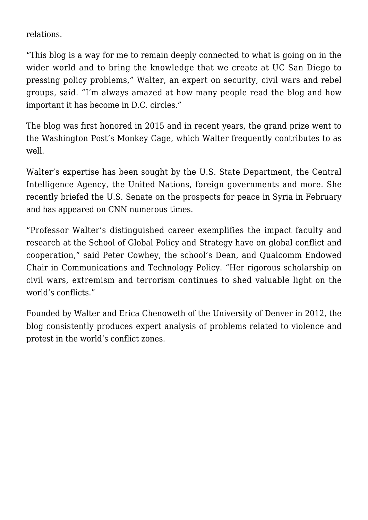relations.

"This blog is a way for me to remain deeply connected to what is going on in the wider world and to bring the knowledge that we create at UC San Diego to pressing policy problems," Walter, an expert on security, civil wars and rebel groups, said. "I'm always amazed at how many people read the blog and how important it has become in D.C. circles."

The blog was first honored in 2015 and in recent years, the grand prize went to the Washington Post's Monkey Cage, which Walter frequently contributes to as well.

Walter's expertise has been sought by the U.S. State Department, the Central Intelligence Agency, the United Nations, foreign governments and more. She recently briefed the U.S. Senate on the prospects for peace in Syria in February and has appeared on CNN numerous times.

"Professor Walter's distinguished career exemplifies the impact faculty and research at the School of Global Policy and Strategy have on global conflict and cooperation," said Peter Cowhey, the school's Dean, and Qualcomm Endowed Chair in Communications and Technology Policy. "Her rigorous scholarship on civil wars, extremism and terrorism continues to shed valuable light on the world's conflicts."

Founded by Walter and Erica Chenoweth of the University of Denver in 2012, the blog consistently produces expert analysis of problems related to violence and protest in the world's conflict zones.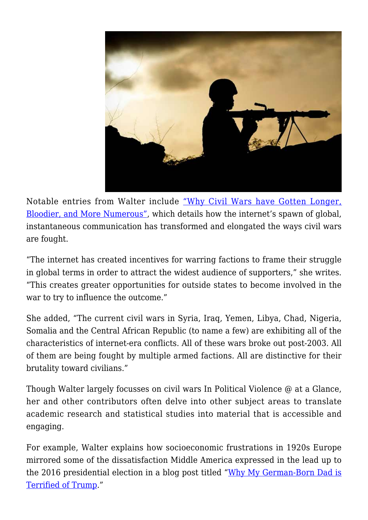

Notable entries from Walter include ["Why Civil Wars have Gotten Longer,](http://politicalviolenceataglance.org/2017/07/05/why-civil-wars-have-gotten-longer-bloodier-and-more-numerous/) [Bloodier, and More Numerous"](http://politicalviolenceataglance.org/2017/07/05/why-civil-wars-have-gotten-longer-bloodier-and-more-numerous/), which details how the internet's spawn of global, instantaneous communication has transformed and elongated the ways civil wars are fought.

"The internet has created incentives for warring factions to frame their struggle in global terms in order to attract the widest audience of supporters," she writes. "This creates greater opportunities for outside states to become involved in the war to try to influence the outcome."

She added, "The current civil wars in Syria, Iraq, Yemen, Libya, Chad, Nigeria, Somalia and the Central African Republic (to name a few) are exhibiting all of the characteristics of internet-era conflicts. All of these wars broke out post-2003. All of them are being fought by multiple armed factions. All are distinctive for their brutality toward civilians."

Though Walter largely focusses on civil wars In Political Violence @ at a Glance, her and other contributors often delve into other subject areas to translate academic research and statistical studies into material that is accessible and engaging.

For example, Walter explains how socioeconomic frustrations in 1920s Europe mirrored some of the dissatisfaction Middle America expressed in the lead up to the 2016 presidential election in a blog post titled ["Why My German-Born Dad is](http://politicalviolenceataglance.org/2016/01/13/why-my-german-born-dad-is-terrified-of-trump/) [Terrified of Trump](http://politicalviolenceataglance.org/2016/01/13/why-my-german-born-dad-is-terrified-of-trump/)."